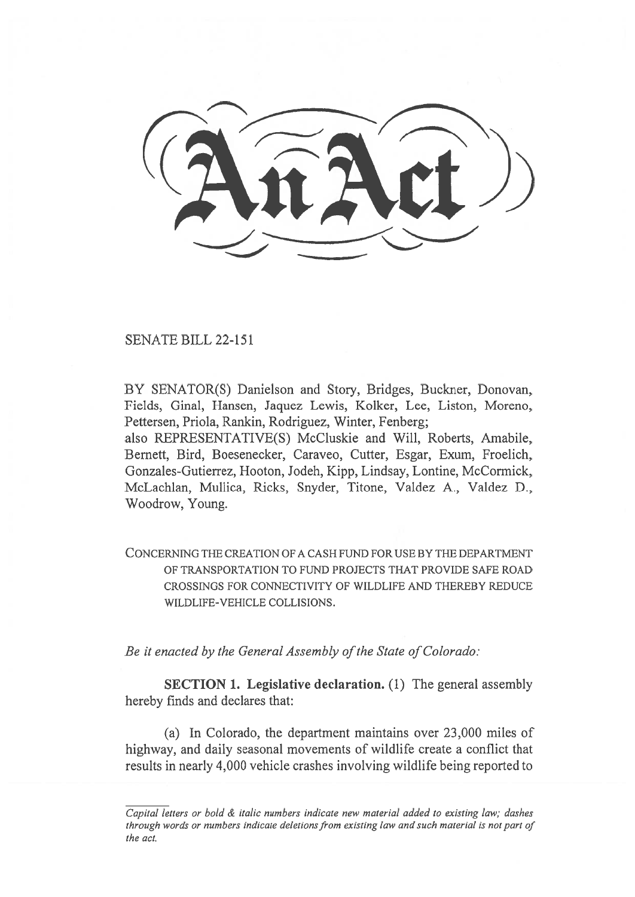SENATE BILL 22-151

BY SENATOR(S) Danielson and Story, Bridges, Buckner, Donovan, Fields, Ginal, Hansen, Jaquez Lewis, Kolker, Lee, Liston, Moreno, Pettersen, Priola, Rankin, Rodriguez, Winter, Fenberg;

also REPRESENTATIVE(S) McCluskie and Will, Roberts, Amabile, Bernett, Bird, Boesenecker, Caraveo, Cutter, Esgar, Exum, Froelich, Gonzales-Gutierrez, Hooton, Jodeh, Kipp, Lindsay, Lontine, McCormick, McLachlan, Mullica, Ricks, Snyder, Titone, Valdez A., Valdez D., Woodrow, Young.

CONCERNING THE CREATION OF A CASH FUND FOR USE BY THE DEPARTMENT OF TRANSPORTATION TO FUND PROJECTS THAT PROVIDE SAFE ROAD CROSSINGS FOR CONNECTIVITY OF WILDLIFE AND THEREBY REDUCE WILDLIFE-VEHICLE COLLISIONS.

Be it enacted by the General Assembly of the State of Colorado:

SECTION 1. Legislative declaration. (1) The general assembly hereby finds and declares that:

(a) In Colorado, the department maintains over 23,000 miles of highway, and daily seasonal movements of wildlife create a conflict that results in nearly 4,000 vehicle crashes involving wildlife being reported to

Capital letters or bold & italic numbers indicate new material added to existing law; dashes through words or numbers indicate deletions from existing law and such material is not part of the act.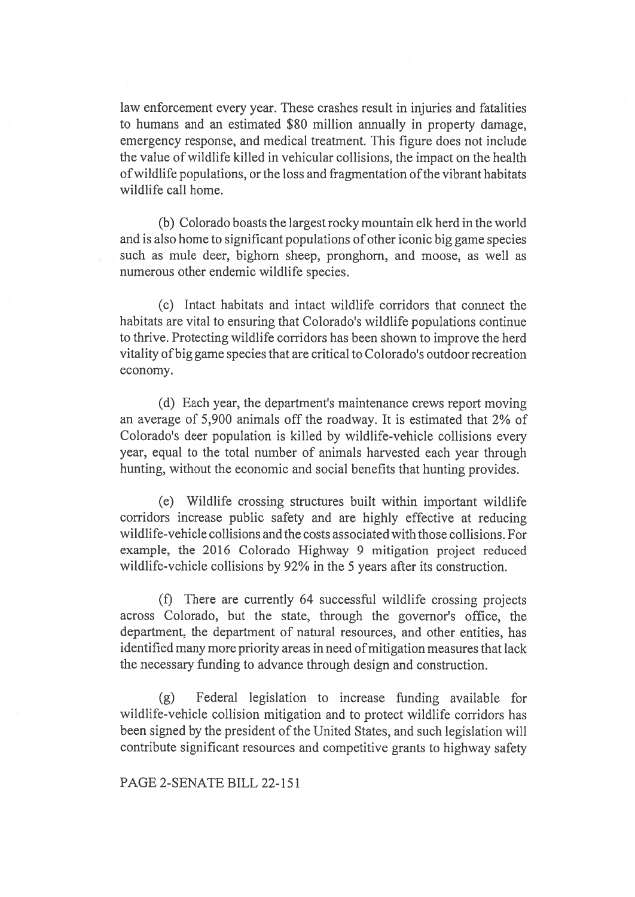law enforcement every year. These crashes result in injuries and fatalities to humans and an estimated \$80 million annually in property damage, emergency response, and medical treatment. This figure does not include the value of wildlife killed in vehicular collisions, the impact on the health of wildlife populations, or the loss and fragmentation of the vibrant habitats wildlife call home.

(b) Colorado boasts the largest rocky mountain elk herd in the world and is also home to significant populations of other iconic big game species such as mule deer, bighorn sheep, pronghorn, and moose, as well as numerous other endemic wildlife species.

(c) Intact habitats and intact wildlife corridors that connect the habitats are vital to ensuring that Colorado's wildlife populations continue to thrive. Protecting wildlife corridors has been shown to improve the herd vitality of big game species that are critical to Colorado's outdoor recreation economy.

(d) Each year, the department's maintenance crews report moving an average of 5,900 animals off the roadway. It is estimated that 2% of Colorado's deer population is killed by wildlife-vehicle collisions every year, equal to the total number of animals harvested each year through hunting, without the economic and social benefits that hunting provides.

(e) Wildlife crossing structures built within important wildlife corridors increase public safety and are highly effective at reducing wildlife-vehicle collisions and the costs associated with those collisions. For example, the 2016 Colorado Highway 9 mitigation project reduced wildlife-vehicle collisions by 92% in the 5 years after its construction.

(f) There are currently 64 successful wildlife crossing projects across Colorado, but the state, through the governor's office, the department, the department of natural resources, and other entities, has identified many more priority areas in need of mitigation measures that lack the necessary funding to advance through design and construction.

(g) Federal legislation to increase funding available for wildlife-vehicle collision mitigation and to protect wildlife corridors has been signed by the president of the United States, and such legislation will contribute significant resources and competitive grants to highway safety

PAGE 2-SENATE BILL 22-151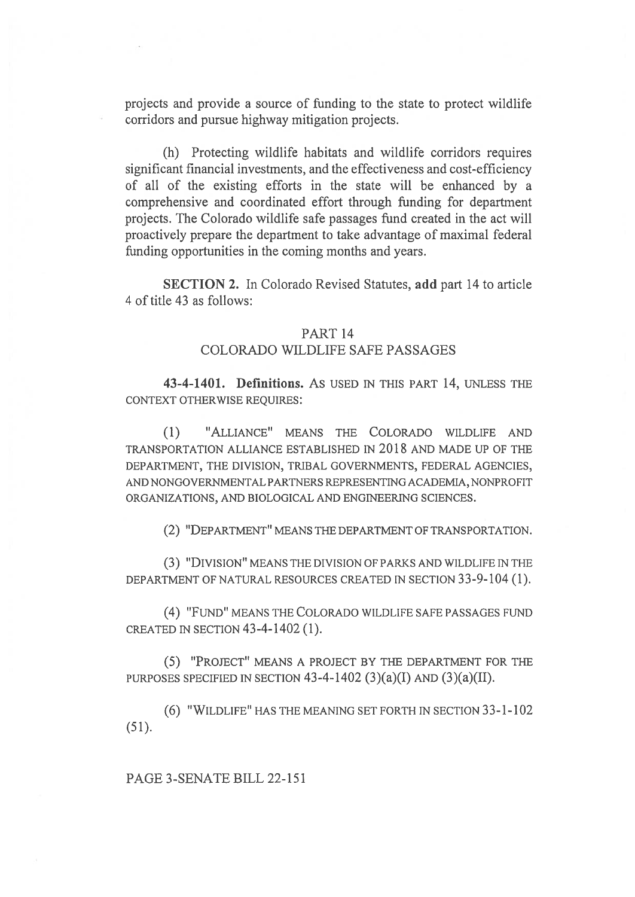projects and provide a source of funding to the state to protect wildlife corridors and pursue highway mitigation projects.

(h) Protecting wildlife habitats and wildlife corridors requires significant financial investments, and the effectiveness and cost-efficiency of all of the existing efforts in the state will be enhanced by a comprehensive and coordinated effort through funding for department projects. The Colorado wildlife safe passages fund created in the act will proactively prepare the department to take advantage of maximal federal funding opportunities in the coming months and years.

SECTION 2. In Colorado Revised Statutes, add part 14 to article 4 of title 43 as follows:

## PART 14

## COLORADO WILDLIFE SAFE PASSAGES

43-4-1401. Definitions. AS USED IN THIS PART 14, UNLESS THE CONTEXT OTHERWISE REQUIRES:

(1) "ALLIANCE" MEANS THE COLORADO WILDLIFE AND TRANSPORTATION ALLIANCE ESTABLISHED IN 2018 AND MADE UP OF THE DEPARTMENT, THE DIVISION, TRIBAL GOVERNMENTS, FEDERAL AGENCIES, AND NONGOVERNMENTAL PARTNERS REPRESENTING ACADEMIA, NONPROFIT ORGANIZATIONS, AND BIOLOGICAL AND ENGINEERING SCIENCES.

(2) "DEPARTMENT" MEANS THE DEPARTMENT OF TRANSPORTATION.

(3) "DIVISION" MEANS THE DIVISION OF PARKS AND WILDLIFE IN THE DEPARTMENT OF NATURAL RESOURCES CREATED IN SECTION 33-9-104 (1).

(4) "FUND" MEANS THE COLORADO WILDLIFE SAFE PASSAGES FUND CREATED IN SECTION 43-4-1402 (1).

(5) "PROJECT" MEANS A PROJECT BY THE DEPARTMENT FOR THE PURPOSES SPECIFIED IN SECTION 43-4-1402 (3)(a)(I) AND (3)(a)(II).

(6) "WILDLIFE" HAS THE MEANING SET FORTH IN SECTION 33-1-102 (51).

PAGE 3-SENATE BILL 22-151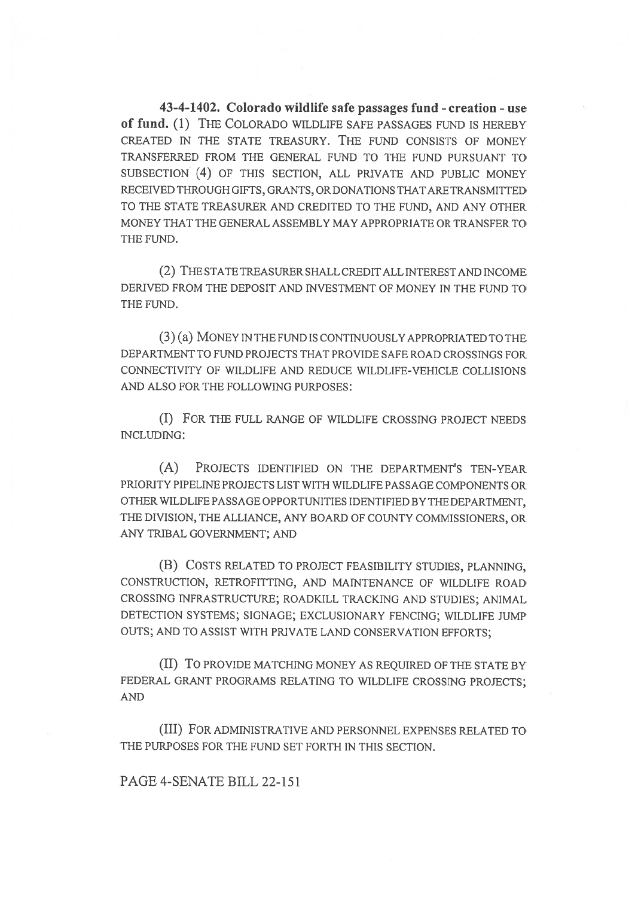43-4-1402. Colorado wildlife safe passages fund - creation - use of fund. (1) THE COLORADO WILDLIFE SAFE PASSAGES FUND IS HEREBY CREATED IN THE STATE TREASURY. THE FUND CONSISTS OF MONEY TRANSFERRED FROM THE GENERAL FUND TO THE FUND PURSUANT TO SUBSECTION (4) OF THIS SECTION, ALL PRIVATE AND PUBLIC MONEY RECEIVED THROUGH GIFTS, GRANTS, OR DONATIONS THAT ARE TRANSMITTED TO THE STATE TREASURER AND CREDITED TO THE FUND, AND ANY OTHER MONEY THAT THE GENERAL ASSEMBLY MAY APPROPRIATE OR TRANSFER TO THE FUND.

(2) THE STATE TREASURER SHALL CREDIT ALL INTEREST AND INCOME DERIVED FROM THE DEPOSIT AND INVESTMENT OF MONEY IN THE FUND TO THE FUND.

(3) (a) MONEY IN THE FUND IS CONTINUOUSLY APPROPRIATED TO THE DEPARTMENT TO FUND PROJECTS THAT PROVIDE SAFE ROAD CROSSINGS FOR CONNECTIVITY OF WILDLIFE AND REDUCE WILDLIFE-VEHICLE COLLISIONS AND ALSO FOR THE FOLLOWING PURPOSES:

(I) FOR THE FULL RANGE OF WILDLIFE CROSSING PROJECT NEEDS INCLUDING:

(A) PROJECTS IDENTIFIED ON THE DEPARTMENT'S TEN-YEAR PRIORITY PIPELINE PROJECTS LIST WITH WILDLIFE PASSAGE COMPONENTS OR OTHER WILDLIFE PASSAGE OPPORTUNITIES IDENTIFIED BY THE DEPARTMENT, THE DIVISION, THE ALLIANCE, ANY BOARD OF COUNTY COMMISSIONERS, OR ANY TRIBAL GOVERNMENT; AND

(B) COSTS RELATED TO PROJECT FEASIBILITY STUDIES, PLANNING, CONSTRUCTION, RETROFITTING, AND MAINTENANCE OF WILDLIFE ROAD CROSSING INFRASTRUCTURE; ROADKILL TRACKING AND STUDIES; ANIMAL DETECTION SYSTEMS; SIGNAGE; EXCLUSIONARY FENCING; WILDLIFE JUMP OUTS; AND TO ASSIST WITH PRIVATE LAND CONSERVATION EFFORTS;

(II) To PROVIDE MATCHING MONEY AS REQUIRED OF THE STATE BY FEDERAL GRANT PROGRAMS RELATING TO WILDLIFE CROSSING PROJECTS; AND

(III) FOR ADMINISTRATIVE AND PERSONNEL EXPENSES RELATED TO THE PURPOSES FOR THE FUND SET FORTH IN THIS SECTION.

PAGE 4-SENATE BILL 22-151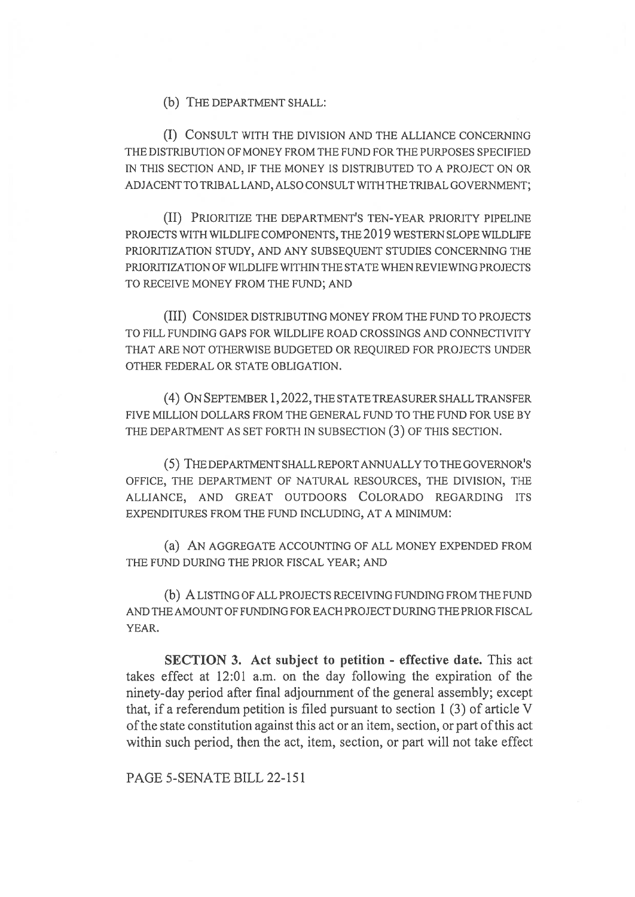(b) THE DEPARTMENT SHALL:

(I) CONSULT WITH THE DIVISION AND THE ALLIANCE CONCERNING THE DISTRIBUTION OF MONEY FROM THE FUND FOR THE PURPOSES SPECIFIED IN THIS SECTION AND, IF THE MONEY IS DISTRIBUTED TO A PROJECT ON OR ADJACENT TO TRIBAL LAND, ALSO CONSULT WITH THE TRIBAL GOVERNMENT;

(II) PRIORITIZE THE DEPARTMENT'S TEN-YEAR PRIORITY PIPELINE PROJECTS WITH WILDLIFE COMPONENTS, THE 2019 WESTERN SLOPE WILDLIFE PRIORITIZATION STUDY, AND ANY SUBSEQUENT STUDIES CONCERNING THE PRIORITIZATION OF WILDLIFE WITHIN THE STATE WHEN REVIEWING PROJECTS TO RECEIVE MONEY FROM THE FUND; AND

(III) CONSIDER DISTRIBUTING MONEY FROM THE FUND TO PROJECTS TO FILL FUNDING GAPS FOR WILDLIFE ROAD CROSSINGS AND CONNECTIVITY THAT ARE NOT OTHERWISE BUDGETED OR REQUIRED FOR PROJECTS UNDER OTHER FEDERAL OR STATE OBLIGATION.

(4) ON SEPTEMBER 1, 2022, THE STATE TREASURER SHALL TRANSFER FIVE MILLION DOLLARS FROM THE GENERAL FUND TO THE FUND FOR USE BY THE DEPARTMENT AS SET FORTH IN SUBSECTION (3) OF THIS SECTION.

(5) THE DEPARTMENT SHALL REPORT ANNUALLY TO THE GOVERNOR'S OFFICE, THE DEPARTMENT OF NATURAL RESOURCES, THE DIVISION, THE ALLIANCE, AND GREAT OUTDOORS COLORADO REGARDING ITS EXPENDITURES FROM THE FUND INCLUDING, AT A MINIMUM:

(a) AN AGGREGATE ACCOUNTING OF ALL MONEY EXPENDED FROM THE FUND DURING THE PRIOR FISCAL YEAR; AND

(b) A LISTING OF ALL PROJECTS RECEIVING FUNDING FROM THE FUND AND THE AMOUNT OF FUNDING FOR EACH PROJECT DURING THE PRIOR FISCAL YEAR.

SECTION 3. Act subject to petition - effective date. This act takes effect at 12:01 a.m. on the day following the expiration of the ninety-day period after final adjournment of the general assembly; except that, if a referendum petition is filed pursuant to section 1 (3) of article V of the state constitution against this act or an item, section, or part of this act within such period, then the act, item, section, or part will not take effect

PAGE 5-SENATE BILL 22-151